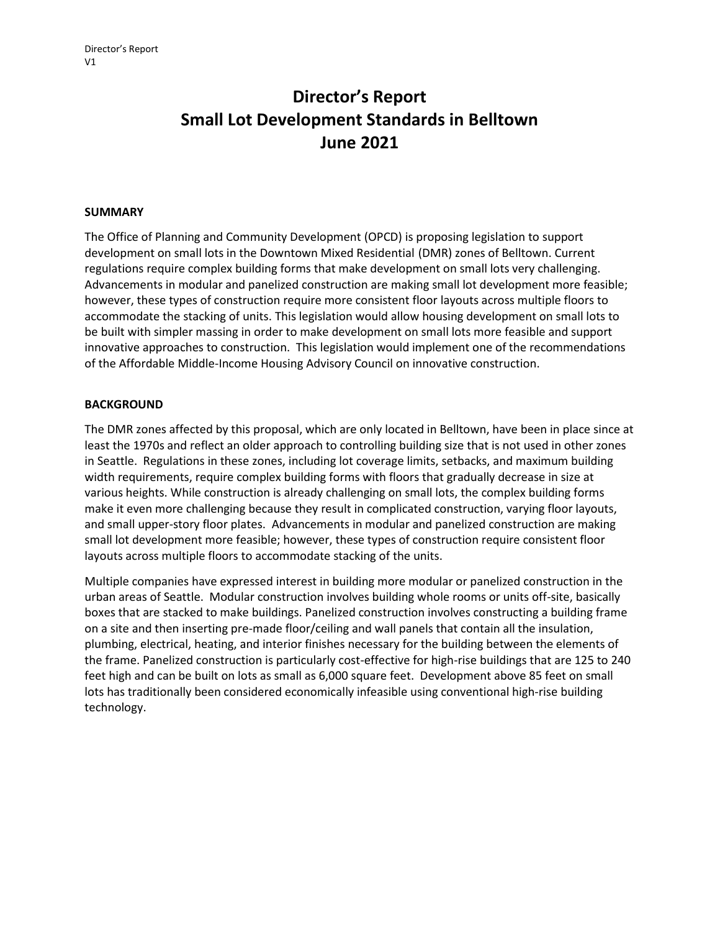# **Director's Report Small Lot Development Standards in Belltown June 2021**

#### **SUMMARY**

The Office of Planning and Community Development (OPCD) is proposing legislation to support development on small lots in the Downtown Mixed Residential (DMR) zones of Belltown. Current regulations require complex building forms that make development on small lots very challenging. Advancements in modular and panelized construction are making small lot development more feasible; however, these types of construction require more consistent floor layouts across multiple floors to accommodate the stacking of units. This legislation would allow housing development on small lots to be built with simpler massing in order to make development on small lots more feasible and support innovative approaches to construction. This legislation would implement one of the recommendations of the Affordable Middle-Income Housing Advisory Council on innovative construction.

### **BACKGROUND**

The DMR zones affected by this proposal, which are only located in Belltown, have been in place since at least the 1970s and reflect an older approach to controlling building size that is not used in other zones in Seattle. Regulations in these zones, including lot coverage limits, setbacks, and maximum building width requirements, require complex building forms with floors that gradually decrease in size at various heights. While construction is already challenging on small lots, the complex building forms make it even more challenging because they result in complicated construction, varying floor layouts, and small upper-story floor plates. Advancements in modular and panelized construction are making small lot development more feasible; however, these types of construction require consistent floor layouts across multiple floors to accommodate stacking of the units.

Multiple companies have expressed interest in building more modular or panelized construction in the urban areas of Seattle. Modular construction involves building whole rooms or units off-site, basically boxes that are stacked to make buildings. Panelized construction involves constructing a building frame on a site and then inserting pre-made floor/ceiling and wall panels that contain all the insulation, plumbing, electrical, heating, and interior finishes necessary for the building between the elements of the frame. Panelized construction is particularly cost-effective for high-rise buildings that are 125 to 240 feet high and can be built on lots as small as 6,000 square feet. Development above 85 feet on small lots has traditionally been considered economically infeasible using conventional high-rise building technology.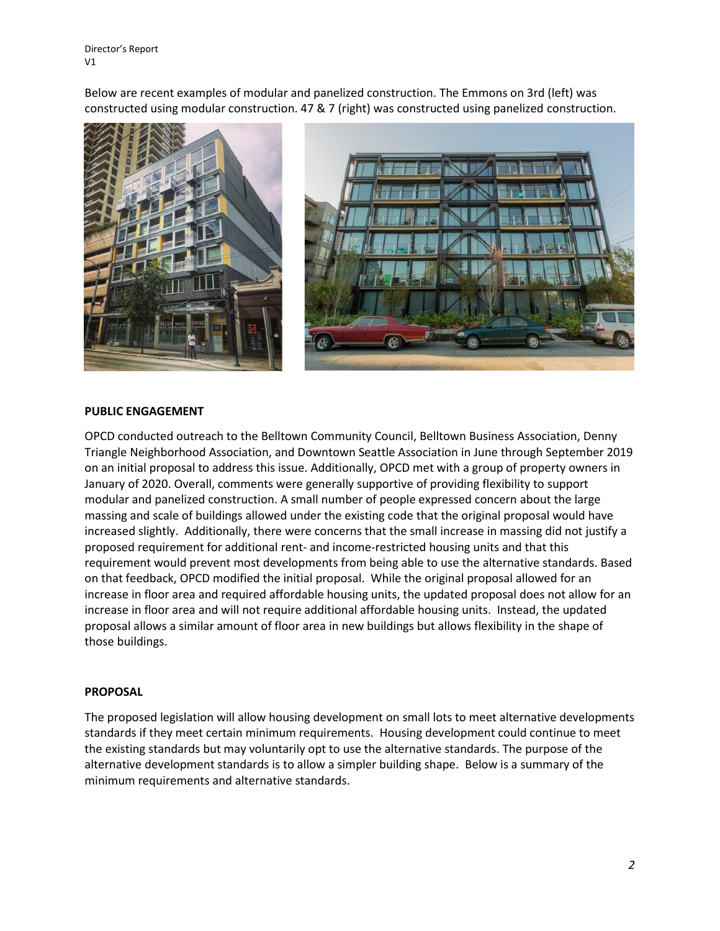Director's Report V1

Below are recent examples of modular and panelized construction. The Emmons on 3rd (left) was constructed using modular construction. 47 & 7 (right) was constructed using panelized construction.





#### **PUBLIC ENGAGEMENT**

OPCD conducted outreach to the Belltown Community Council, Belltown Business Association, Denny Triangle Neighborhood Association, and Downtown Seattle Association in June through September 2019 on an initial proposal to address this issue. Additionally, OPCD met with a group of property owners in January of 2020. Overall, comments were generally supportive of providing flexibility to support modular and panelized construction. A small number of people expressed concern about the large massing and scale of buildings allowed under the existing code that the original proposal would have increased slightly. Additionally, there were concerns that the small increase in massing did not justify a proposed requirement for additional rent- and income-restricted housing units and that this requirement would prevent most developments from being able to use the alternative standards. Based on that feedback, OPCD modified the initial proposal. While the original proposal allowed for an increase in floor area and required affordable housing units, the updated proposal does not allow for an increase in floor area and will not require additional affordable housing units. Instead, the updated proposal allows a similar amount of floor area in new buildings but allows flexibility in the shape of those buildings.

#### **PROPOSAL**

The proposed legislation will allow housing development on small lots to meet alternative developments standards if they meet certain minimum requirements. Housing development could continue to meet the existing standards but may voluntarily opt to use the alternative standards. The purpose of the alternative development standards is to allow a simpler building shape. Below is a summary of the minimum requirements and alternative standards.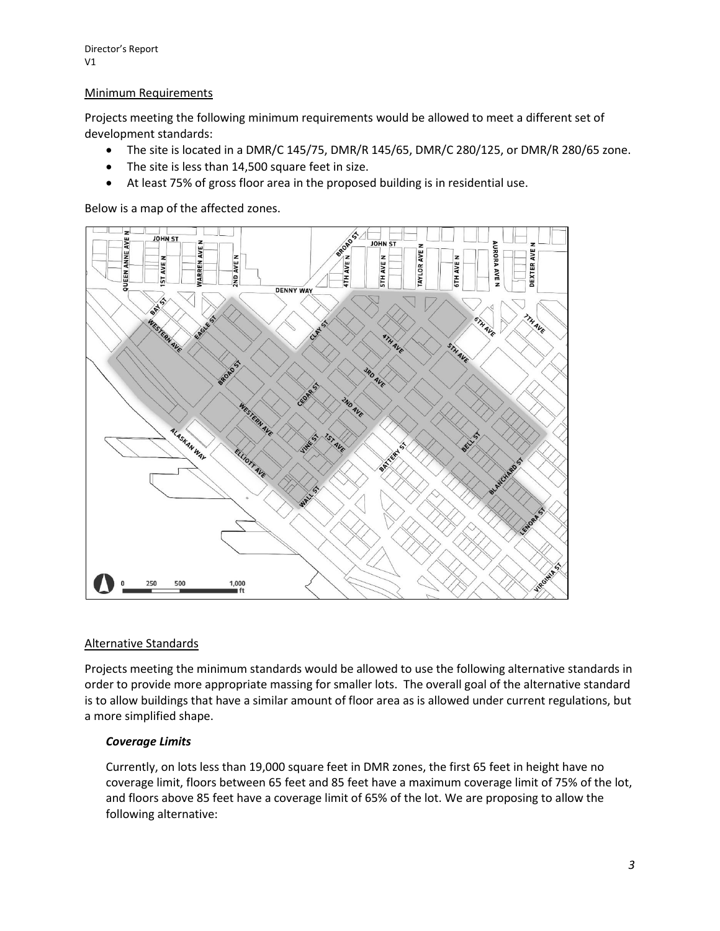## Minimum Requirements

Projects meeting the following minimum requirements would be allowed to meet a different set of development standards:

- The site is located in a DMR/C 145/75, DMR/R 145/65, DMR/C 280/125, or DMR/R 280/65 zone.
- The site is less than 14,500 square feet in size.
- At least 75% of gross floor area in the proposed building is in residential use.

Below is a map of the affected zones.



# Alternative Standards

Projects meeting the minimum standards would be allowed to use the following alternative standards in order to provide more appropriate massing for smaller lots. The overall goal of the alternative standard is to allow buildings that have a similar amount of floor area as is allowed under current regulations, but a more simplified shape.

## *Coverage Limits*

Currently, on lots less than 19,000 square feet in DMR zones, the first 65 feet in height have no coverage limit, floors between 65 feet and 85 feet have a maximum coverage limit of 75% of the lot, and floors above 85 feet have a coverage limit of 65% of the lot. We are proposing to allow the following alternative: